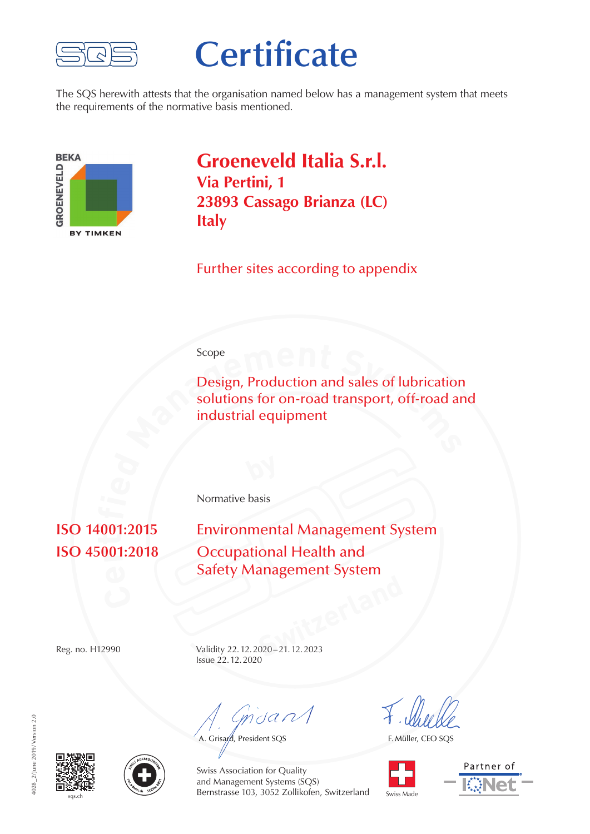

## **Certificate**

The SQS herewith attests that the organisation named below has a management system that meets the requirements of the normative basis mentioned.



**Groeneveld Italia S.r.l. Via Pertini, 1 23893 Cassago Brianza (LC) Italy**

Further sites according to appendix

## Scope

Scope<br>
Design, Production and sales of lubrication<br>
solutions for on-road transport, off-road and<br>
industrial equipment Design, Production and sales of lubrication solutions for on-road transport, off-road and industrial equipment

Normative basis

## **001 ti**

**Environmental Management System Occupational Health and** Safety Management System

**Switzerland** Reg. no. H12990 Validity 22.12.2020–21.12.2023 Issue 22.12.2020

 $m$ dan $\Lambda$ 

A. Grisard, President SQS

F. Müller, CEO SQS









Swiss Association for Quality and Management Systems (SQS) Bernstrasse 103, 3052 Zollikofen, Switzerland